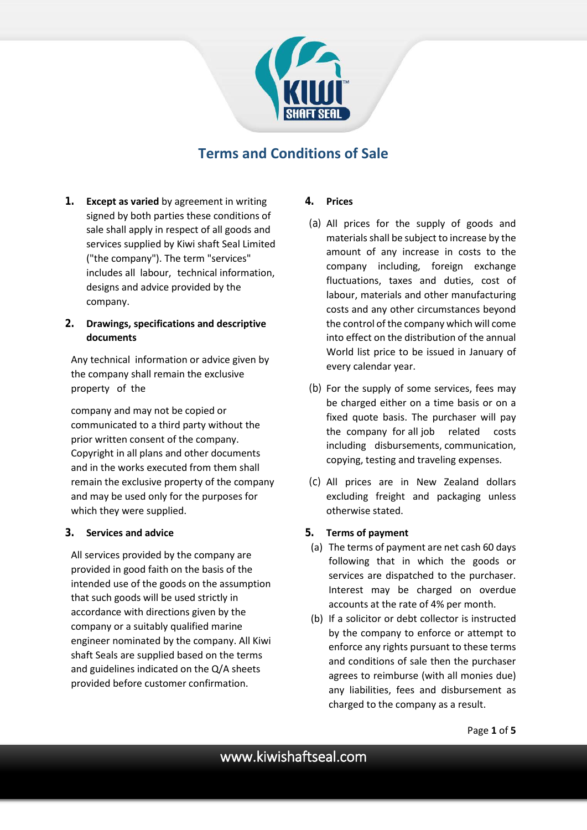

# **Terms and Conditions of Sale**

**1. Except as varied** by agreement in writing signed by both parties these conditions of sale shall apply in respect of all goods and services supplied by Kiwi shaft Seal Limited ("the company"). The term "services" includes all labour, technical information, designs and advice provided by the company.

# **2. Drawings, specifications and descriptive documents**

Any technical information or advice given by the company shall remain the exclusive property of the

company and may not be copied or communicated to a third party without the prior written consent of the company. Copyright in all plans and other documents and in the works executed from them shall remain the exclusive property of the company and may be used only for the purposes for which they were supplied.

## **3. Services and advice**

All services provided by the company are provided in good faith on the basis of the intended use of the goods on the assumption that such goods will be used strictly in accordance with directions given by the company or a suitably qualified marine engineer nominated by the company. All Kiwi shaft Seals are supplied based on the terms and guidelines indicated on the Q/A sheets provided before customer confirmation.

# **4. Prices**

- (a) All prices for the supply of goods and materials shall be subject to increase by the amount of any increase in costs to the company including, foreign exchange fluctuations, taxes and duties, cost of labour, materials and other manufacturing costs and any other circumstances beyond the control of the company which will come into effect on the distribution of the annual World list price to be issued in January of every calendar year.
- (b) For the supply of some services, fees may be charged either on a time basis or on a fixed quote basis. The purchaser will pay the company for all job related costs including disbursements, communication, copying, testing and traveling expenses.
- (c) All prices are in New Zealand dollars excluding freight and packaging unless otherwise stated.

## **5. Terms of payment**

- (a) The terms of payment are net cash 60 days following that in which the goods or services are dispatched to the purchaser. Interest may be charged on overdue accounts at the rate of 4% per month.
- (b) If a solicitor or debt collector is instructed by the company to enforce or attempt to enforce any rights pursuant to these terms and conditions of sale then the purchaser agrees to reimburse (with all monies due) any liabilities, fees and disbursement as charged to the company as a result.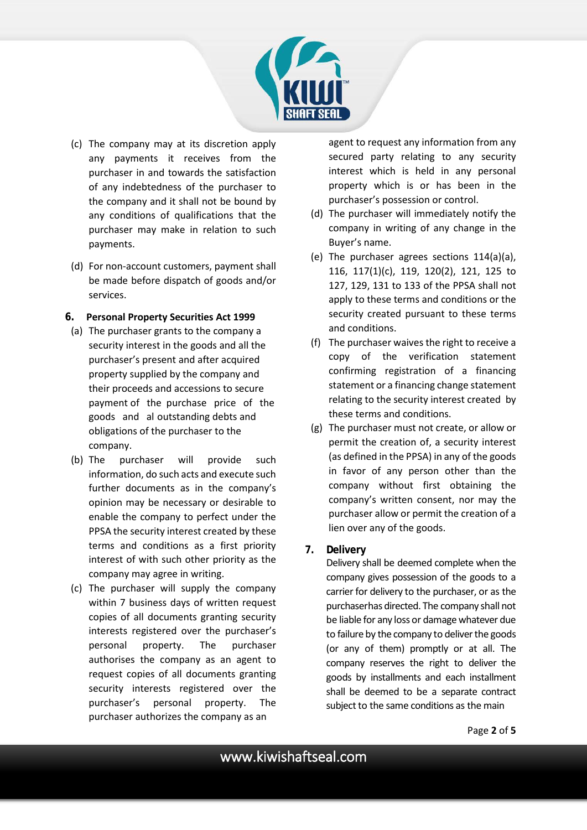

- (c) The company may at its discretion apply any payments it receives from the purchaser in and towards the satisfaction of any indebtedness of the purchaser to the company and it shall not be bound by any conditions of qualifications that the purchaser may make in relation to such payments.
- (d) For non-account customers, payment shall be made before dispatch of goods and/or services.

#### **6. Personal Property Securities Act 1999**

- (a) The purchaser grants to the company a security interest in the goods and all the purchaser's present and after acquired property supplied by the company and their proceeds and accessions to secure payment of the purchase price of the goods and al outstanding debts and obligations of the purchaser to the company.
- (b) The purchaser will provide such information, do such acts and execute such further documents as in the company's opinion may be necessary or desirable to enable the company to perfect under the PPSA the security interest created by these terms and conditions as a first priority interest of with such other priority as the company may agree in writing.
- (c) The purchaser will supply the company within 7 business days of written request copies of all documents granting security interests registered over the purchaser's personal property. The purchaser authorises the company as an agent to request copies of all documents granting security interests registered over the purchaser's personal property. The purchaser authorizes the company as an

agent to request any information from any secured party relating to any security interest which is held in any personal property which is or has been in the purchaser's possession or control.

- (d) The purchaser will immediately notify the company in writing of any change in the Buyer's name.
- (e) The purchaser agrees sections 114(a)(a), 116, 117(1)(c), 119, 120(2), 121, 125 to 127, 129, 131 to 133 of the PPSA shall not apply to these terms and conditions or the security created pursuant to these terms and conditions.
- (f) The purchaser waives the right to receive a copy of the verification statement confirming registration of a financing statement or a financing change statement relating to the security interest created by these terms and conditions.
- (g) The purchaser must not create, or allow or permit the creation of, a security interest (as defined in the PPSA) in any of the goods in favor of any person other than the company without first obtaining the company's written consent, nor may the purchaser allow or permit the creation of a lien over any of the goods.

## **7. Delivery**

Delivery shall be deemed complete when the company gives possession of the goods to a carrier for delivery to the purchaser, or as the purchaserhas directed. The company shall not be liable for any loss or damage whatever due to failure by the company to deliver the goods (or any of them) promptly or at all. The company reserves the right to deliver the goods by installments and each installment shall be deemed to be a separate contract subject to the same conditions as the main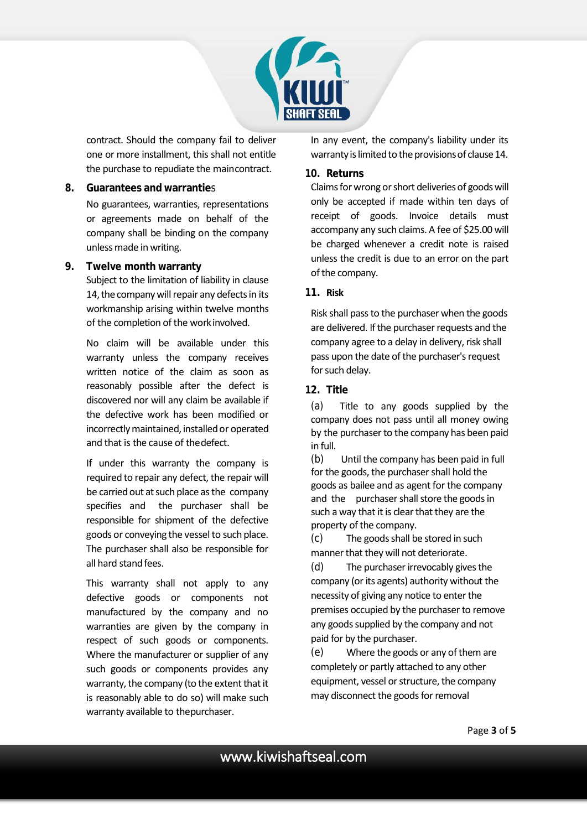

contract. Should the company fail to deliver one or more installment, this shall not entitle the purchase to repudiate the maincontract.

#### **8. Guarantees and warrantie**s

No guarantees, warranties, representations or agreements made on behalf of the company shall be binding on the company unless made in writing.

#### **9. Twelve month warranty**

Subject to the limitation of liability in clause 14, the company will repair any defects in its workmanship arising within twelve months of the completion of the workinvolved.

No claim will be available under this warranty unless the company receives written notice of the claim as soon as reasonably possible after the defect is discovered nor will any claim be available if the defective work has been modified or incorrectly maintained, installed or operated and that is the cause of thedefect.

If under this warranty the company is required to repair any defect, the repair will be carried out at such place as the company specifies and the purchaser shall be responsible for shipment of the defective goods or conveying the vessel to such place. The purchaser shall also be responsible for all hard stand fees.

This warranty shall not apply to any defective goods or components not manufactured by the company and no warranties are given by the company in respect of such goods or components. Where the manufacturer or supplier of any such goods or components provides any warranty, the company (to the extent that it is reasonably able to do so) will make such warranty available to thepurchaser.

In any event, the company's liability under its warranty is limited to the provisions of clause 14.

#### **10. Returns**

Claims for wrong or short deliveries of goods will only be accepted if made within ten days of receipt of goods. Invoice details must accompany any such claims. A fee of \$25.00 will be charged whenever a credit note is raised unless the credit is due to an error on the part of the company.

#### **11. Risk**

Risk shall pass to the purchaser when the goods are delivered. If the purchaser requests and the company agree to a delay in delivery, risk shall pass upon the date of the purchaser's request for such delay.

#### **12. Title**

(a) Title to any goods supplied by the company does not pass until all money owing by the purchaser to the company has been paid in full.

(b) Until the company has been paid in full for the goods, the purchaser shall hold the goods as bailee and as agent for the company and the purchaser shall store the goods in such a way that it is clear that they are the property of the company.

(c) The goods shall be stored in such manner that they will not deteriorate.

(d) The purchaser irrevocably gives the company (or its agents) authority without the necessity of giving any notice to enter the premises occupied by the purchaser to remove any goods supplied by the company and not paid for by the purchaser.

(e) Where the goods or any of them are completely or partly attached to any other equipment, vessel or structure, the company may disconnect the goods for removal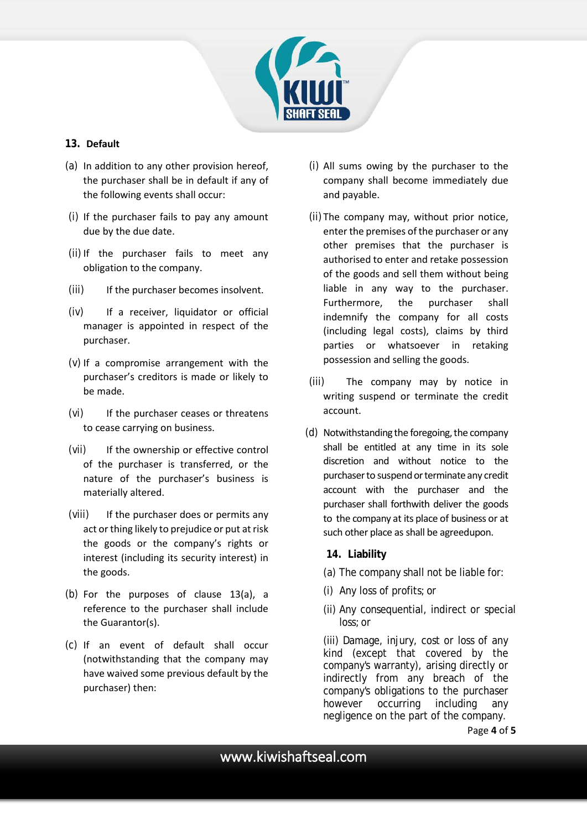

# **13. Default**

- (a) In addition to any other provision hereof, the purchaser shall be in default if any of the following events shall occur:
- (i) If the purchaser fails to pay any amount due by the due date.
- (ii) If the purchaser fails to meet any obligation to the company.
- (iii) If the purchaser becomes insolvent.
- (iv) If a receiver, liquidator or official manager is appointed in respect of the purchaser.
- (v) If a compromise arrangement with the purchaser's creditors is made or likely to be made.
- (vi) If the purchaser ceases or threatens to cease carrying on business.
- (vii) If the ownership or effective control of the purchaser is transferred, or the nature of the purchaser's business is materially altered.
- (viii) If the purchaser does or permits any act or thing likely to prejudice or put at risk the goods or the company's rights or interest (including its security interest) in the goods.
- (b) For the purposes of clause 13(a), a reference to the purchaser shall include the Guarantor(s).
- (c) If an event of default shall occur (notwithstanding that the company may have waived some previous default by the purchaser) then:
- (i) All sums owing by the purchaser to the company shall become immediately due and payable.
- (ii) The company may, without prior notice, enter the premises of the purchaser or any other premises that the purchaser is authorised to enter and retake possession of the goods and sell them without being liable in any way to the purchaser. Furthermore, the purchaser shall indemnify the company for all costs (including legal costs), claims by third parties or whatsoever in retaking possession and selling the goods.
- (iii) The company may by notice in writing suspend or terminate the credit account.
- (d) Notwithstanding the foregoing, the company shall be entitled at any time in its sole discretion and without notice to the purchaser to suspend or terminate any credit account with the purchaser and the purchaser shall forthwith deliver the goods to the company at its place of business or at such other place as shall be agreed upon.

## **14. Liability**

- (a) The company shall not be liable for:
- (i) Any loss of profits;or
- (ii) Any consequential, indirect or special loss;or

(iii) Damage, injury, cost or loss of any kind (except that covered by the company's warranty), arising directly or indirectly from any breach of the company's obligations to the purchaser however occurring including any negligence on the part of the company.